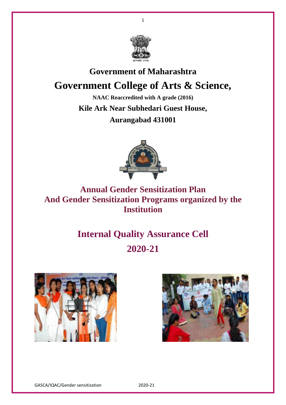

1

# **Government of Maharashtra Government College of Arts & Science,**

**NAAC Reaccredited with A grade (2016) Kile Ark Near Subhedari Guest House, Aurangabad 431001**



**Annual Gender Sensitization Plan And Gender Sensitization Programs organized by the Institution**

# **Internal Quality Assurance Cell 2020-21**





GASCA/IQAC/Gender sensitization 2020-21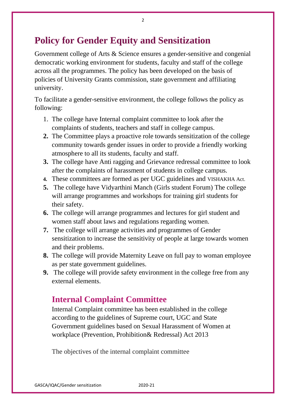## **Policy for Gender Equity and Sensitization**

Government college of Arts & Science ensures a gender-sensitive and congenial democratic working environment for students, faculty and staff of the college across all the programmes. The policy has been developed on the basis of policies of University Grants commission, state government and affiliating university.

To facilitate a gender-sensitive environment, the college follows the policy as following:

- 1. The college have Internal complaint committee to look after the complaints of students, teachers and staff in college campus.
- **2.** The Committee plays a proactive role towards sensitization of the college community towards gender issues in order to provide a friendly working atmosphere to all its students, faculty and staff.
- **3.** The college have Anti ragging and Grievance redressal committee to look after the complaints of harassment of students in college campus.
- **4.** These committees are formed as per UGC guidelines and VISHAKHA Act.
- **5.** The college have Vidyarthini Manch (Girls student Forum) The college will arrange programmes and workshops for training girl students for their safety.
- **6.** The college will arrange programmes and lectures for girl student and women staff about laws and regulations regarding women.
- **7.** The college will arrange activities and programmes of Gender sensitization to increase the sensitivity of people at large towards women and their problems.
- **8.** The college will provide Maternity Leave on full pay to woman employee as per state government guidelines.
- **9.** The college will provide safety environment in the college free from any external elements.

#### **Internal Complaint Committee**

Internal Complaint committee has been established in the college according to the guidelines of Supreme court, UGC and State Government guidelines based on Sexual Harassment of Women at workplace (Prevention, Prohibition& Redressal) Act 2013

The objectives of the internal complaint committee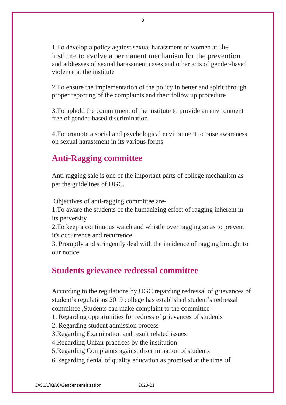1.To develop a policy against sexual harassment of women at the institute to evolve a permanent mechanism for the prevention and addresses of sexual harassment cases and other acts of gender-based violence at the institute

2.To ensure the implementation of the policy in better and spirit through proper reporting of the complaints and their follow up procedure

3.To uphold the commitment of the institute to provide an environment free of gender-based discrimination

4.To promote a social and psychological environment to raise awareness on sexual harassment in its various forms.

### **Anti-Ragging committee**

Anti ragging sale is one of the important parts of college mechanism as per the guidelines of UGC.

Objectives of anti-ragging committee are-

1.To aware the students of the humanizing effect of ragging inherent in its perversity

2.To keep a continuous watch and whistle over ragging so as to prevent it's occurrence and recurrence

3. Promptly and stringently deal with the incidence of ragging brought to our notice

#### **Students grievance redressal committee**

According to the regulations by UGC regarding redressal of grievances of student's regulations 2019 college has established student's redressal committee ,Students can make complaint to the committee-

- 1. Regarding opportunities for redress of grievances of students
- 2. Regarding student admission process

3.Regarding Examination and result related issues

4.Regarding Unfair practices by the institution

5.Regarding Complaints against discrimination of students

6.Regarding denial of quality education as promised at the time of

3